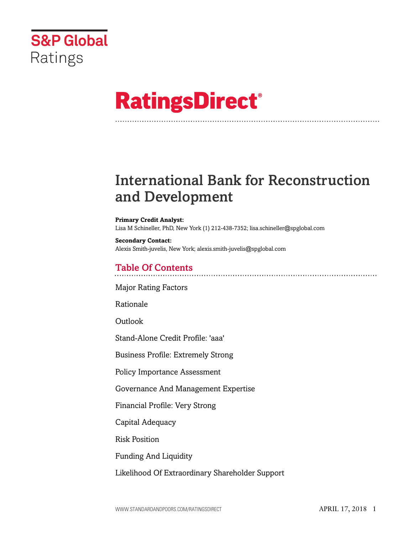

# **RatingsDirect®**

## International Bank for Reconstruction and Development

#### **Primary Credit Analyst:** Lisa M Schineller, PhD, New York (1) 212-438-7352; lisa.schineller@spglobal.com

**Secondary Contact:** Alexis Smith-juvelis, New York; alexis.smith-juvelis@spglobal.com

## Table Of Contents

[Major Rating Factors](#page-2-0)

[Rationale](#page-2-1)

[Outlook](#page-4-0)

[Stand-Alone Credit Profile: 'aaa'](#page-4-1)

[Business Profile: Extremely Strong](#page-5-0)

[Policy Importance Assessment](#page-5-1)

[Governance And Management Expertise](#page-6-0)

[Financial Profile: Very Strong](#page-9-0)

[Capital Adequacy](#page-9-1)

[Risk Position](#page-13-0)

[Funding And Liquidity](#page-15-0)

[Likelihood Of Extraordinary Shareholder Support](#page-16-0)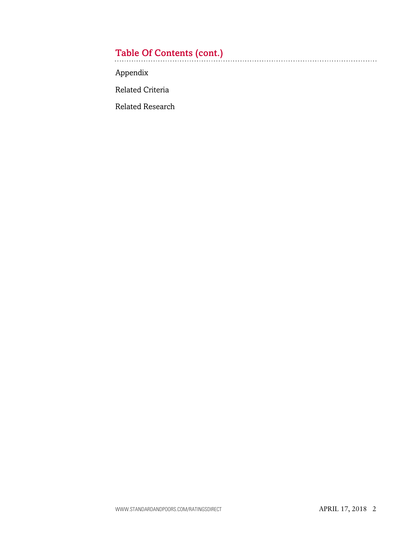## Table Of Contents (cont.)

[Appendix](#page-16-1)

[Related Criteria](#page-19-0)

[Related Research](#page-19-1)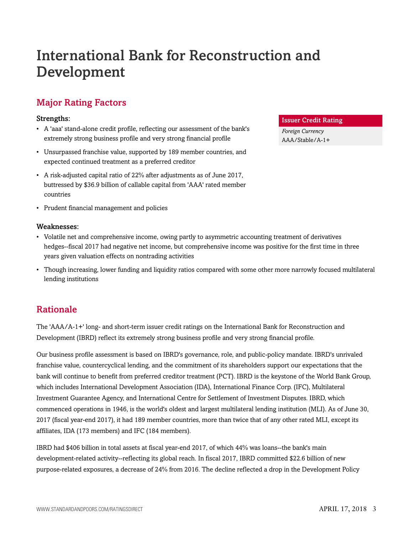## International Bank for Reconstruction and Development

## <span id="page-2-0"></span>Major Rating Factors

#### Strengths:

- A 'aaa' stand-alone credit profile, reflecting our assessment of the bank's extremely strong business profile and very strong financial profile
- Unsurpassed franchise value, supported by 189 member countries, and expected continued treatment as a preferred creditor
- A risk-adjusted capital ratio of 22% after adjustments as of June 2017, buttressed by \$36.9 billion of callable capital from 'AAA' rated member countries
- Prudent financial management and policies

#### Weaknesses:

- Volatile net and comprehensive income, owing partly to asymmetric accounting treatment of derivatives hedges--fiscal 2017 had negative net income, but comprehensive income was positive for the first time in three years given valuation effects on nontrading activities
- Though increasing, lower funding and liquidity ratios compared with some other more narrowly focused multilateral lending institutions

## <span id="page-2-1"></span>Rationale

The 'AAA/A-1+' long- and short-term issuer credit ratings on the International Bank for Reconstruction and Development (IBRD) reflect its extremely strong business profile and very strong financial profile.

Our business profile assessment is based on IBRD's governance, role, and public-policy mandate. IBRD's unrivaled franchise value, countercyclical lending, and the commitment of its shareholders support our expectations that the bank will continue to benefit from preferred creditor treatment (PCT). IBRD is the keystone of the World Bank Group, which includes International Development Association (IDA), International Finance Corp. (IFC), Multilateral Investment Guarantee Agency, and International Centre for Settlement of Investment Disputes. IBRD, which commenced operations in 1946, is the world's oldest and largest multilateral lending institution (MLI). As of June 30, 2017 (fiscal year-end 2017), it had 189 member countries, more than twice that of any other rated MLI, except its affiliates, IDA (173 members) and IFC (184 members).

IBRD had \$406 billion in total assets at fiscal year-end 2017, of which 44% was loans--the bank's main development-related activity--reflecting its global reach. In fiscal 2017, IBRD committed \$22.6 billion of new purpose-related exposures, a decrease of 24% from 2016. The decline reflected a drop in the Development Policy

#### Issuer Credit Rating

*Foreign Currency* AAA/Stable/A-1+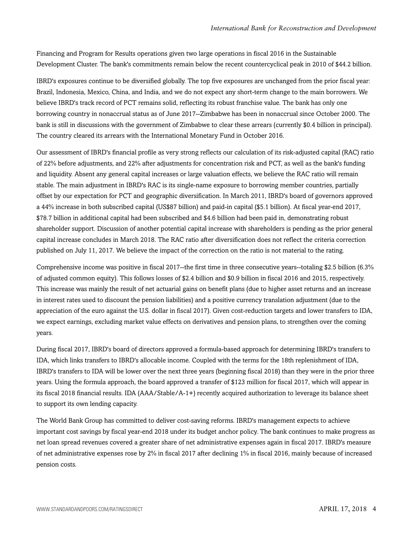Financing and Program for Results operations given two large operations in fiscal 2016 in the Sustainable Development Cluster. The bank's commitments remain below the recent countercyclical peak in 2010 of \$44.2 billion.

IBRD's exposures continue to be diversified globally. The top five exposures are unchanged from the prior fiscal year: Brazil, Indonesia, Mexico, China, and India, and we do not expect any short-term change to the main borrowers. We believe IBRD's track record of PCT remains solid, reflecting its robust franchise value. The bank has only one borrowing country in nonaccrual status as of June 2017--Zimbabwe has been in nonaccrual since October 2000. The bank is still in discussions with the government of Zimbabwe to clear these arrears (currently \$0.4 billion in principal). The country cleared its arrears with the International Monetary Fund in October 2016.

Our assessment of IBRD's financial profile as very strong reflects our calculation of its risk-adjusted capital (RAC) ratio of 22% before adjustments, and 22% after adjustments for concentration risk and PCT, as well as the bank's funding and liquidity. Absent any general capital increases or large valuation effects, we believe the RAC ratio will remain stable. The main adjustment in IBRD's RAC is its single-name exposure to borrowing member countries, partially offset by our expectation for PCT and geographic diversification. In March 2011, IBRD's board of governors approved a 44% increase in both subscribed capital (US\$87 billion) and paid-in capital (\$5.1 billion). At fiscal year-end 2017, \$78.7 billion in additional capital had been subscribed and \$4.6 billion had been paid in, demonstrating robust shareholder support. Discussion of another potential capital increase with shareholders is pending as the prior general capital increase concludes in March 2018. The RAC ratio after diversification does not reflect the criteria correction published on July 11, 2017. We believe the impact of the correction on the ratio is not material to the rating.

Comprehensive income was positive in fiscal 2017--the first time in three consecutive years--totaling \$2.5 billion (6.3% of adjusted common equity). This follows losses of \$2.4 billion and \$0.9 billion in fiscal 2016 and 2015, respectively. This increase was mainly the result of net actuarial gains on benefit plans (due to higher asset returns and an increase in interest rates used to discount the pension liabilities) and a positive currency translation adjustment (due to the appreciation of the euro against the U.S. dollar in fiscal 2017). Given cost-reduction targets and lower transfers to IDA, we expect earnings, excluding market value effects on derivatives and pension plans, to strengthen over the coming years.

During fiscal 2017, IBRD's board of directors approved a formula-based approach for determining IBRD's transfers to IDA, which links transfers to IBRD's allocable income. Coupled with the terms for the 18th replenishment of IDA, IBRD's transfers to IDA will be lower over the next three years (beginning fiscal 2018) than they were in the prior three years. Using the formula approach, the board approved a transfer of \$123 million for fiscal 2017, which will appear in its fiscal 2018 financial results. IDA (AAA/Stable/A-1+) recently acquired authorization to leverage its balance sheet to support its own lending capacity.

The World Bank Group has committed to deliver cost-saving reforms. IBRD's management expects to achieve important cost savings by fiscal year-end 2018 under its budget anchor policy. The bank continues to make progress as net loan spread revenues covered a greater share of net administrative expenses again in fiscal 2017. IBRD's measure of net administrative expenses rose by 2% in fiscal 2017 after declining 1% in fiscal 2016, mainly because of increased pension costs.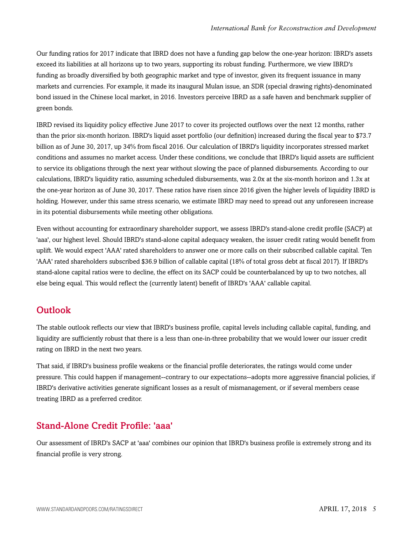Our funding ratios for 2017 indicate that IBRD does not have a funding gap below the one-year horizon: IBRD's assets exceed its liabilities at all horizons up to two years, supporting its robust funding. Furthermore, we view IBRD's funding as broadly diversified by both geographic market and type of investor, given its frequent issuance in many markets and currencies. For example, it made its inaugural Mulan issue, an SDR (special drawing rights)-denominated bond issued in the Chinese local market, in 2016. Investors perceive IBRD as a safe haven and benchmark supplier of green bonds.

IBRD revised its liquidity policy effective June 2017 to cover its projected outflows over the next 12 months, rather than the prior six-month horizon. IBRD's liquid asset portfolio (our definition) increased during the fiscal year to \$73.7 billion as of June 30, 2017, up 34% from fiscal 2016. Our calculation of IBRD's liquidity incorporates stressed market conditions and assumes no market access. Under these conditions, we conclude that IBRD's liquid assets are sufficient to service its obligations through the next year without slowing the pace of planned disbursements. According to our calculations, IBRD's liquidity ratio, assuming scheduled disbursements, was 2.0x at the six-month horizon and 1.3x at the one-year horizon as of June 30, 2017. These ratios have risen since 2016 given the higher levels of liquidity IBRD is holding. However, under this same stress scenario, we estimate IBRD may need to spread out any unforeseen increase in its potential disbursements while meeting other obligations.

Even without accounting for extraordinary shareholder support, we assess IBRD's stand-alone credit profile (SACP) at 'aaa', our highest level. Should IBRD's stand-alone capital adequacy weaken, the issuer credit rating would benefit from uplift. We would expect 'AAA' rated shareholders to answer one or more calls on their subscribed callable capital. Ten 'AAA' rated shareholders subscribed \$36.9 billion of callable capital (18% of total gross debt at fiscal 2017). If IBRD's stand-alone capital ratios were to decline, the effect on its SACP could be counterbalanced by up to two notches, all else being equal. This would reflect the (currently latent) benefit of IBRD's 'AAA' callable capital.

### <span id="page-4-0"></span>**Outlook**

The stable outlook reflects our view that IBRD's business profile, capital levels including callable capital, funding, and liquidity are sufficiently robust that there is a less than one-in-three probability that we would lower our issuer credit rating on IBRD in the next two years.

That said, if IBRD's business profile weakens or the financial profile deteriorates, the ratings would come under pressure. This could happen if management--contrary to our expectations--adopts more aggressive financial policies, if IBRD's derivative activities generate significant losses as a result of mismanagement, or if several members cease treating IBRD as a preferred creditor.

## <span id="page-4-1"></span>Stand-Alone Credit Profile: 'aaa'

Our assessment of IBRD's SACP at 'aaa' combines our opinion that IBRD's business profile is extremely strong and its financial profile is very strong.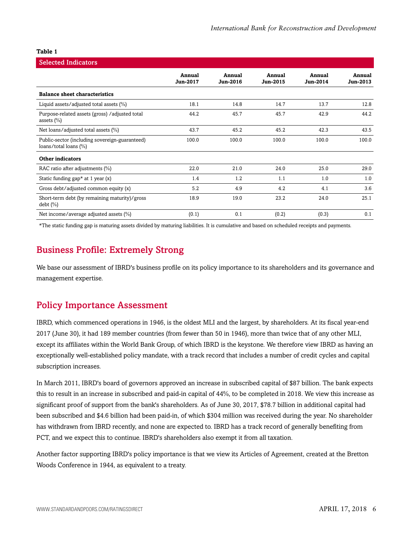| <b>Selected Indicators</b>                                              |                           |                           |                    |                    |                    |
|-------------------------------------------------------------------------|---------------------------|---------------------------|--------------------|--------------------|--------------------|
|                                                                         | Annual<br><b>Jun-2017</b> | Annual<br><b>Jun-2016</b> | Annual<br>Jun-2015 | Annual<br>Jun-2014 | Annual<br>Jun-2013 |
| <b>Balance sheet characteristics</b>                                    |                           |                           |                    |                    |                    |
| Liquid assets/adjusted total assets $(\%)$                              | 18.1                      | 14.8                      | 14.7               | 13.7               | 12.8               |
| Purpose-related assets (gross) / adjusted total<br>assets $(\% )$       | 44.2                      | 45.7                      | 45.7               | 42.9               | 44.2               |
| Net loans/adjusted total assets (%)                                     | 43.7                      | 45.2                      | 45.2               | 42.3               | 43.5               |
| Public-sector (including sovereign-guaranteed)<br>loans/total loans (%) | 100.0                     | 100.0                     | 100.0              | 100.0              | 100.0              |
| <b>Other indicators</b>                                                 |                           |                           |                    |                    |                    |
| RAC ratio after adjustments (%)                                         | 22.0                      | 21.0                      | 24.0               | 25.0               | 29.0               |
| Static funding gap* at 1 year $(x)$                                     | 1.4                       | 1.2                       | 1.1                | 1.0                | 1.0                |
| Gross debt/adjusted common equity (x)                                   | 5.2                       | 4.9                       | 4.2                | 4.1                | 3.6                |
| Short-term debt (by remaining maturity)/gross<br>$\text{debt}$ $(\%)$   | 18.9                      | 19.0                      | 23.2               | 24.0               | 25.1               |
| Net income/average adjusted assets (%)                                  | (0.1)                     | 0.1                       | (0.2)              | (0.3)              | 0.1                |

<span id="page-5-0"></span>\*The static funding gap is maturing assets divided by maturing liabilities. It is cumulative and based on scheduled receipts and payments.

## Business Profile: Extremely Strong

We base our assessment of IBRD's business profile on its policy importance to its shareholders and its governance and management expertise.

## <span id="page-5-1"></span>Policy Importance Assessment

IBRD, which commenced operations in 1946, is the oldest MLI and the largest, by shareholders. At its fiscal year-end 2017 (June 30), it had 189 member countries (from fewer than 50 in 1946), more than twice that of any other MLI, except its affiliates within the World Bank Group, of which IBRD is the keystone. We therefore view IBRD as having an exceptionally well-established policy mandate, with a track record that includes a number of credit cycles and capital subscription increases.

In March 2011, IBRD's board of governors approved an increase in subscribed capital of \$87 billion. The bank expects this to result in an increase in subscribed and paid-in capital of 44%, to be completed in 2018. We view this increase as significant proof of support from the bank's shareholders. As of June 30, 2017, \$78.7 billion in additional capital had been subscribed and \$4.6 billion had been paid-in, of which \$304 million was received during the year. No shareholder has withdrawn from IBRD recently, and none are expected to. IBRD has a track record of generally benefiting from PCT, and we expect this to continue. IBRD's shareholders also exempt it from all taxation.

Another factor supporting IBRD's policy importance is that we view its Articles of Agreement, created at the Bretton Woods Conference in 1944, as equivalent to a treaty.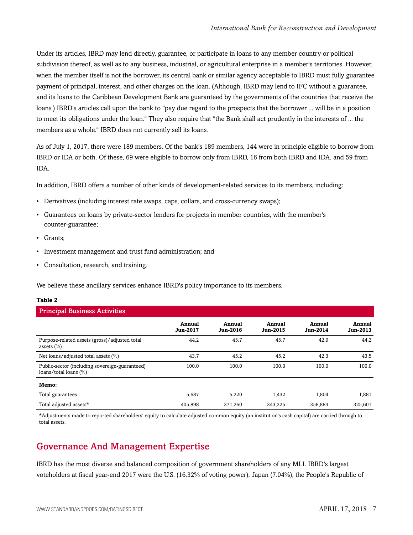Under its articles, IBRD may lend directly, guarantee, or participate in loans to any member country or political subdivision thereof, as well as to any business, industrial, or agricultural enterprise in a member's territories. However, when the member itself is not the borrower, its central bank or similar agency acceptable to IBRD must fully guarantee payment of principal, interest, and other charges on the loan. (Although, IBRD may lend to IFC without a guarantee, and its loans to the Caribbean Development Bank are guaranteed by the governments of the countries that receive the loans.) IBRD's articles call upon the bank to "pay due regard to the prospects that the borrower ... will be in a position to meet its obligations under the loan." They also require that "the Bank shall act prudently in the interests of ... the members as a whole." IBRD does not currently sell its loans.

As of July 1, 2017, there were 189 members. Of the bank's 189 members, 144 were in principle eligible to borrow from IBRD or IDA or both. Of these, 69 were eligible to borrow only from IBRD, 16 from both IBRD and IDA, and 59 from IDA.

In addition, IBRD offers a number of other kinds of development-related services to its members, including:

- Derivatives (including interest rate swaps, caps, collars, and cross-currency swaps);
- Guarantees on loans by private-sector lenders for projects in member countries, with the member's counter-guarantee;
- Grants;
- Investment management and trust fund administration; and
- Consultation, research, and training.

We believe these ancillary services enhance IBRD's policy importance to its members.

#### **Table 2**

| <b>Principal Business Activities</b>                                    |                           |                    |                    |                    |                    |  |  |
|-------------------------------------------------------------------------|---------------------------|--------------------|--------------------|--------------------|--------------------|--|--|
|                                                                         | Annual<br><b>Jun-2017</b> | Annual<br>Jun-2016 | Annual<br>Jun-2015 | Annual<br>Jun-2014 | Annual<br>Jun-2013 |  |  |
| Purpose-related assets (gross)/adjusted total<br>assets $(\% )$         | 44.2                      | 45.7               | 45.7               | 42.9               | 44.2               |  |  |
| Net loans/adjusted total assets (%)                                     | 43.7                      | 45.2               | 45.2               | 42.3               | 43.5               |  |  |
| Public-sector (including sovereign-guaranteed)<br>loans/total loans (%) | 100.0                     | 100.0              | 100.0              | 100.0              | 100.0              |  |  |
| Memo:                                                                   |                           |                    |                    |                    |                    |  |  |
| Total guarantees                                                        | 5,687                     | 5,220              | 1,432              | 1,804              | 1,881              |  |  |
| Total adjusted assets*                                                  | 405.898                   | 371,260            | 343.225            | 358.883            | 325.601            |  |  |

\*Adjustments made to reported shareholders' equity to calculate adjusted common equity (an institution's cash capital) are carried through to total assets.

## <span id="page-6-0"></span>Governance And Management Expertise

IBRD has the most diverse and balanced composition of government shareholders of any MLI. IBRD's largest voteholders at fiscal year-end 2017 were the U.S. (16.32% of voting power), Japan (7.04%), the People's Republic of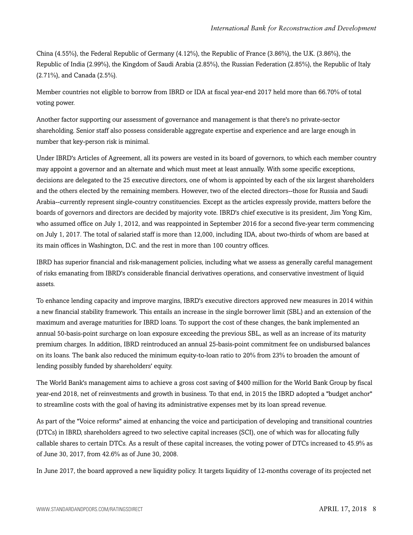China (4.55%), the Federal Republic of Germany (4.12%), the Republic of France (3.86%), the U.K. (3.86%), the Republic of India (2.99%), the Kingdom of Saudi Arabia (2.85%), the Russian Federation (2.85%), the Republic of Italy (2.71%), and Canada (2.5%).

Member countries not eligible to borrow from IBRD or IDA at fiscal year-end 2017 held more than 66.70% of total voting power.

Another factor supporting our assessment of governance and management is that there's no private-sector shareholding. Senior staff also possess considerable aggregate expertise and experience and are large enough in number that key-person risk is minimal.

Under IBRD's Articles of Agreement, all its powers are vested in its board of governors, to which each member country may appoint a governor and an alternate and which must meet at least annually. With some specific exceptions, decisions are delegated to the 25 executive directors, one of whom is appointed by each of the six largest shareholders and the others elected by the remaining members. However, two of the elected directors--those for Russia and Saudi Arabia--currently represent single-country constituencies. Except as the articles expressly provide, matters before the boards of governors and directors are decided by majority vote. IBRD's chief executive is its president, Jim Yong Kim, who assumed office on July 1, 2012, and was reappointed in September 2016 for a second five-year term commencing on July 1, 2017. The total of salaried staff is more than 12,000, including IDA, about two-thirds of whom are based at its main offices in Washington, D.C. and the rest in more than 100 country offices.

IBRD has superior financial and risk-management policies, including what we assess as generally careful management of risks emanating from IBRD's considerable financial derivatives operations, and conservative investment of liquid assets.

To enhance lending capacity and improve margins, IBRD's executive directors approved new measures in 2014 within a new financial stability framework. This entails an increase in the single borrower limit (SBL) and an extension of the maximum and average maturities for IBRD loans. To support the cost of these changes, the bank implemented an annual 50-basis-point surcharge on loan exposure exceeding the previous SBL, as well as an increase of its maturity premium charges. In addition, IBRD reintroduced an annual 25-basis-point commitment fee on undisbursed balances on its loans. The bank also reduced the minimum equity-to-loan ratio to 20% from 23% to broaden the amount of lending possibly funded by shareholders' equity.

The World Bank's management aims to achieve a gross cost saving of \$400 million for the World Bank Group by fiscal year-end 2018, net of reinvestments and growth in business. To that end, in 2015 the IBRD adopted a "budget anchor" to streamline costs with the goal of having its administrative expenses met by its loan spread revenue.

As part of the "Voice reforms" aimed at enhancing the voice and participation of developing and transitional countries (DTCs) in IBRD, shareholders agreed to two selective capital increases (SCI), one of which was for allocating fully callable shares to certain DTCs. As a result of these capital increases, the voting power of DTCs increased to 45.9% as of June 30, 2017, from 42.6% as of June 30, 2008.

In June 2017, the board approved a new liquidity policy. It targets liquidity of 12-months coverage of its projected net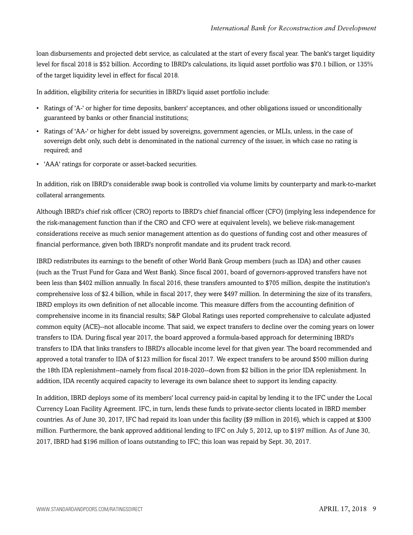loan disbursements and projected debt service, as calculated at the start of every fiscal year. The bank's target liquidity level for fiscal 2018 is \$52 billion. According to IBRD's calculations, its liquid asset portfolio was \$70.1 billion, or 135% of the target liquidity level in effect for fiscal 2018.

In addition, eligibility criteria for securities in IBRD's liquid asset portfolio include:

- Ratings of 'A-' or higher for time deposits, bankers' acceptances, and other obligations issued or unconditionally guaranteed by banks or other financial institutions;
- Ratings of 'AA-' or higher for debt issued by sovereigns, government agencies, or MLIs, unless, in the case of sovereign debt only, such debt is denominated in the national currency of the issuer, in which case no rating is required; and
- 'AAA' ratings for corporate or asset-backed securities.

In addition, risk on IBRD's considerable swap book is controlled via volume limits by counterparty and mark-to-market collateral arrangements.

Although IBRD's chief risk officer (CRO) reports to IBRD's chief financial officer (CFO) (implying less independence for the risk-management function than if the CRO and CFO were at equivalent levels), we believe risk-management considerations receive as much senior management attention as do questions of funding cost and other measures of financial performance, given both IBRD's nonprofit mandate and its prudent track record.

IBRD redistributes its earnings to the benefit of other World Bank Group members (such as IDA) and other causes (such as the Trust Fund for Gaza and West Bank). Since fiscal 2001, board of governors-approved transfers have not been less than \$402 million annually. In fiscal 2016, these transfers amounted to \$705 million, despite the institution's comprehensive loss of \$2.4 billion, while in fiscal 2017, they were \$497 million. In determining the size of its transfers, IBRD employs its own definition of net allocable income. This measure differs from the accounting definition of comprehensive income in its financial results; S&P Global Ratings uses reported comprehensive to calculate adjusted common equity (ACE)--not allocable income. That said, we expect transfers to decline over the coming years on lower transfers to IDA. During fiscal year 2017, the board approved a formula-based approach for determining IBRD's transfers to IDA that links transfers to IBRD's allocable income level for that given year. The board recommended and approved a total transfer to IDA of \$123 million for fiscal 2017. We expect transfers to be around \$500 million during the 18th IDA replenishment--namely from fiscal 2018-2020--down from \$2 billion in the prior IDA replenishment. In addition, IDA recently acquired capacity to leverage its own balance sheet to support its lending capacity.

In addition, IBRD deploys some of its members' local currency paid-in capital by lending it to the IFC under the Local Currency Loan Facility Agreement. IFC, in turn, lends these funds to private-sector clients located in IBRD member countries. As of June 30, 2017, IFC had repaid its loan under this facility (\$9 million in 2016), which is capped at \$300 million. Furthermore, the bank approved additional lending to IFC on July 5, 2012, up to \$197 million. As of June 30, 2017, IBRD had \$196 million of loans outstanding to IFC; this loan was repaid by Sept. 30, 2017.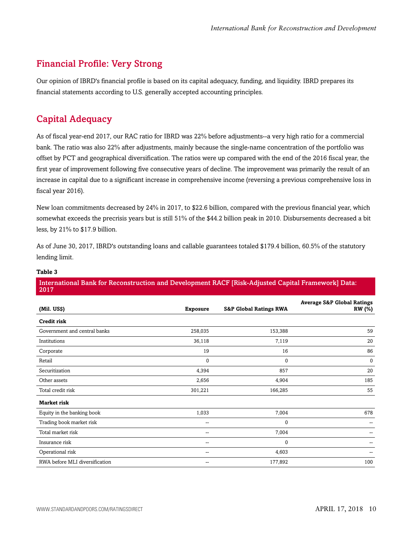## <span id="page-9-0"></span>Financial Profile: Very Strong

Our opinion of IBRD's financial profile is based on its capital adequacy, funding, and liquidity. IBRD prepares its financial statements according to U.S. generally accepted accounting principles.

## <span id="page-9-1"></span>Capital Adequacy

As of fiscal year-end 2017, our RAC ratio for IBRD was 22% before adjustments--a very high ratio for a commercial bank. The ratio was also 22% after adjustments, mainly because the single-name concentration of the portfolio was offset by PCT and geographical diversification. The ratios were up compared with the end of the 2016 fiscal year, the first year of improvement following five consecutive years of decline. The improvement was primarily the result of an increase in capital due to a significant increase in comprehensive income (reversing a previous comprehensive loss in fiscal year 2016).

New loan commitments decreased by 24% in 2017, to \$22.6 billion, compared with the previous financial year, which somewhat exceeds the precrisis years but is still 51% of the \$44.2 billion peak in 2010. Disbursements decreased a bit less, by 21% to \$17.9 billion.

As of June 30, 2017, IBRD's outstanding loans and callable guarantees totaled \$179.4 billion, 60.5% of the statutory lending limit.

| 2017                           |                 |                                   |                                                        |  |  |
|--------------------------------|-----------------|-----------------------------------|--------------------------------------------------------|--|--|
| (Mil. US\$)                    | <b>Exposure</b> | <b>S&amp;P Global Ratings RWA</b> | <b>Average S&amp;P Global Ratings</b><br><b>RW</b> (%) |  |  |
| <b>Credit risk</b>             |                 |                                   |                                                        |  |  |
| Government and central banks   | 258,035         | 153,388                           | 59                                                     |  |  |
| Institutions                   | 36,118          | 7,119                             | 20                                                     |  |  |
| Corporate                      | 19              | 16                                | 86                                                     |  |  |
| Retail                         | $\mathbf 0$     | $\mathbf{0}$                      | $\mathbf{0}$                                           |  |  |
| Securitization                 | 4,394           | 857                               | 20                                                     |  |  |
| Other assets                   | 2,656           | 4,904                             | 185                                                    |  |  |
| Total credit risk              | 301,221         | 166,285                           | 55                                                     |  |  |
| <b>Market risk</b>             |                 |                                   |                                                        |  |  |
| Equity in the banking book     | 1,033           | 7,004                             | 678                                                    |  |  |
| Trading book market risk       | --              | 0                                 |                                                        |  |  |
| Total market risk              | $\sim$          | 7,004                             |                                                        |  |  |
| Insurance risk                 | $\sim$          | $\pmb{0}$                         |                                                        |  |  |
| Operational risk               | $\sim$          | 4,603                             | --                                                     |  |  |
| RWA before MLI diversification | $-$             | 177,892                           | 100                                                    |  |  |
|                                |                 |                                   |                                                        |  |  |

#### **Table 3**

## International Bank for Reconstruction and Development RACF [Risk-Adjusted Capital Framework] Data: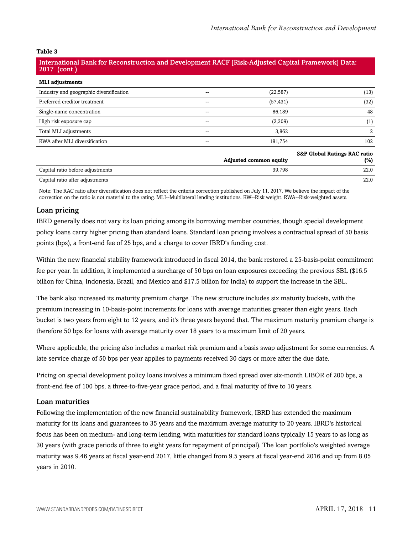#### International Bank for Reconstruction and Development RACF [Risk-Adjusted Capital Framework] Data: 2017 (cont.)

| <b>MLI</b> adjustments                  |       |           |                                         |
|-----------------------------------------|-------|-----------|-----------------------------------------|
| Industry and geographic diversification | --    | (22, 587) | (13)                                    |
| Preferred creditor treatment            | $- -$ | (57, 431) | (32)                                    |
| Single-name concentration               | --    | 86,189    | 48                                      |
| High risk exposure cap                  | --    | (2,309)   | (1)                                     |
| Total MLI adjustments                   | --    | 3,862     |                                         |
| RWA after MLI diversification           |       | 181,754   | 102                                     |
|                                         |       |           | <b>S&amp;P Global Ratings RAC ratio</b> |

|                                  | <b>Adjusted common equity</b> | <b>SAL ARRIVAL RAILINGS RAL TALIO</b><br>(%) |
|----------------------------------|-------------------------------|----------------------------------------------|
| Capital ratio before adjustments | 39.798                        | 22.0                                         |
| Capital ratio after adjustments  |                               | 22.0                                         |

Note: The RAC ratio after diversification does not reflect the criteria correction published on July 11, 2017. We believe the impact of the correction on the ratio is not material to the rating. MLI--Multilateral lending institutions. RW--Risk weight. RWA--Risk-weighted assets.

#### Loan pricing

IBRD generally does not vary its loan pricing among its borrowing member countries, though special development policy loans carry higher pricing than standard loans. Standard loan pricing involves a contractual spread of 50 basis points (bps), a front-end fee of 25 bps, and a charge to cover IBRD's funding cost.

Within the new financial stability framework introduced in fiscal 2014, the bank restored a 25-basis-point commitment fee per year. In addition, it implemented a surcharge of 50 bps on loan exposures exceeding the previous SBL (\$16.5 billion for China, Indonesia, Brazil, and Mexico and \$17.5 billion for India) to support the increase in the SBL.

The bank also increased its maturity premium charge. The new structure includes six maturity buckets, with the premium increasing in 10-basis-point increments for loans with average maturities greater than eight years. Each bucket is two years from eight to 12 years, and it's three years beyond that. The maximum maturity premium charge is therefore 50 bps for loans with average maturity over 18 years to a maximum limit of 20 years.

Where applicable, the pricing also includes a market risk premium and a basis swap adjustment for some currencies. A late service charge of 50 bps per year applies to payments received 30 days or more after the due date.

Pricing on special development policy loans involves a minimum fixed spread over six-month LIBOR of 200 bps, a front-end fee of 100 bps, a three-to-five-year grace period, and a final maturity of five to 10 years.

#### Loan maturities

Following the implementation of the new financial sustainability framework, IBRD has extended the maximum maturity for its loans and guarantees to 35 years and the maximum average maturity to 20 years. IBRD's historical focus has been on medium- and long-term lending, with maturities for standard loans typically 15 years to as long as 30 years (with grace periods of three to eight years for repayment of principal). The loan portfolio's weighted average maturity was 9.46 years at fiscal year-end 2017, little changed from 9.5 years at fiscal year-end 2016 and up from 8.05 years in 2010.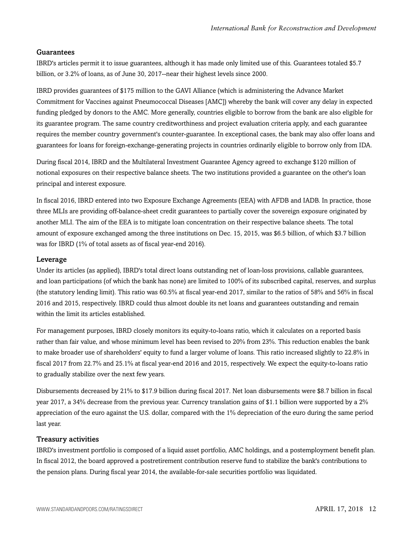#### Guarantees

IBRD's articles permit it to issue guarantees, although it has made only limited use of this. Guarantees totaled \$5.7 billion, or 3.2% of loans, as of June 30, 2017--near their highest levels since 2000.

IBRD provides guarantees of \$175 million to the GAVI Alliance (which is administering the Advance Market Commitment for Vaccines against Pneumococcal Diseases [AMC]) whereby the bank will cover any delay in expected funding pledged by donors to the AMC. More generally, countries eligible to borrow from the bank are also eligible for its guarantee program. The same country creditworthiness and project evaluation criteria apply, and each guarantee requires the member country government's counter-guarantee. In exceptional cases, the bank may also offer loans and guarantees for loans for foreign-exchange-generating projects in countries ordinarily eligible to borrow only from IDA.

During fiscal 2014, IBRD and the Multilateral Investment Guarantee Agency agreed to exchange \$120 million of notional exposures on their respective balance sheets. The two institutions provided a guarantee on the other's loan principal and interest exposure.

In fiscal 2016, IBRD entered into two Exposure Exchange Agreements (EEA) with AFDB and IADB. In practice, those three MLIs are providing off-balance-sheet credit guarantees to partially cover the sovereign exposure originated by another MLI. The aim of the EEA is to mitigate loan concentration on their respective balance sheets. The total amount of exposure exchanged among the three institutions on Dec. 15, 2015, was \$6.5 billion, of which \$3.7 billion was for IBRD (1% of total assets as of fiscal year-end 2016).

#### Leverage

Under its articles (as applied), IBRD's total direct loans outstanding net of loan-loss provisions, callable guarantees, and loan participations (of which the bank has none) are limited to 100% of its subscribed capital, reserves, and surplus (the statutory lending limit). This ratio was 60.5% at fiscal year-end 2017, similar to the ratios of 58% and 56% in fiscal 2016 and 2015, respectively. IBRD could thus almost double its net loans and guarantees outstanding and remain within the limit its articles established.

For management purposes, IBRD closely monitors its equity-to-loans ratio, which it calculates on a reported basis rather than fair value, and whose minimum level has been revised to 20% from 23%. This reduction enables the bank to make broader use of shareholders' equity to fund a larger volume of loans. This ratio increased slightly to 22.8% in fiscal 2017 from 22.7% and 25.1% at fiscal year-end 2016 and 2015, respectively. We expect the equity-to-loans ratio to gradually stabilize over the next few years.

Disbursements decreased by 21% to \$17.9 billion during fiscal 2017. Net loan disbursements were \$8.7 billion in fiscal year 2017, a 34% decrease from the previous year. Currency translation gains of \$1.1 billion were supported by a 2% appreciation of the euro against the U.S. dollar, compared with the 1% depreciation of the euro during the same period last year.

#### Treasury activities

IBRD's investment portfolio is composed of a liquid asset portfolio, AMC holdings, and a postemployment benefit plan. In fiscal 2012, the board approved a postretirement contribution reserve fund to stabilize the bank's contributions to the pension plans. During fiscal year 2014, the available-for-sale securities portfolio was liquidated.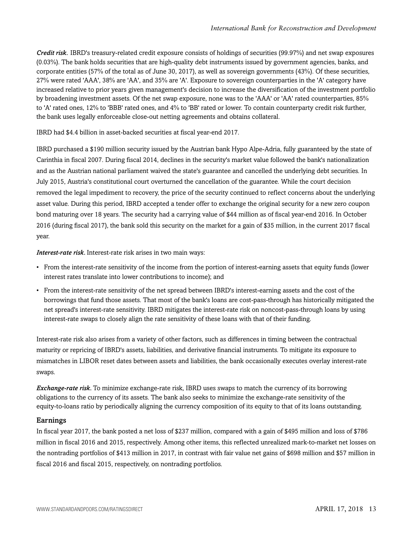*Credit risk.* IBRD's treasury-related credit exposure consists of holdings of securities (99.97%) and net swap exposures (0.03%). The bank holds securities that are high-quality debt instruments issued by government agencies, banks, and corporate entities (57% of the total as of June 30, 2017), as well as sovereign governments (43%). Of these securities, 27% were rated 'AAA', 38% are 'AA', and 35% are 'A'. Exposure to sovereign counterparties in the 'A' category have increased relative to prior years given management's decision to increase the diversification of the investment portfolio by broadening investment assets. Of the net swap exposure, none was to the 'AAA' or 'AA' rated counterparties, 85% to 'A' rated ones, 12% to 'BBB' rated ones, and 4% to 'BB' rated or lower. To contain counterparty credit risk further, the bank uses legally enforceable close-out netting agreements and obtains collateral.

#### IBRD had \$4.4 billion in asset-backed securities at fiscal year-end 2017.

IBRD purchased a \$190 million security issued by the Austrian bank Hypo Alpe-Adria, fully guaranteed by the state of Carinthia in fiscal 2007. During fiscal 2014, declines in the security's market value followed the bank's nationalization and as the Austrian national parliament waived the state's guarantee and cancelled the underlying debt securities. In July 2015, Austria's constitutional court overturned the cancellation of the guarantee. While the court decision removed the legal impediment to recovery, the price of the security continued to reflect concerns about the underlying asset value. During this period, IBRD accepted a tender offer to exchange the original security for a new zero coupon bond maturing over 18 years. The security had a carrying value of \$44 million as of fiscal year-end 2016. In October 2016 (during fiscal 2017), the bank sold this security on the market for a gain of \$35 million, in the current 2017 fiscal year.

*Interest-rate risk.* Interest-rate risk arises in two main ways:

- From the interest-rate sensitivity of the income from the portion of interest-earning assets that equity funds (lower interest rates translate into lower contributions to income); and
- From the interest-rate sensitivity of the net spread between IBRD's interest-earning assets and the cost of the borrowings that fund those assets. That most of the bank's loans are cost-pass-through has historically mitigated the net spread's interest-rate sensitivity. IBRD mitigates the interest-rate risk on noncost-pass-through loans by using interest-rate swaps to closely align the rate sensitivity of these loans with that of their funding.

Interest-rate risk also arises from a variety of other factors, such as differences in timing between the contractual maturity or repricing of IBRD's assets, liabilities, and derivative financial instruments. To mitigate its exposure to mismatches in LIBOR reset dates between assets and liabilities, the bank occasionally executes overlay interest-rate swaps.

*Exchange-rate risk.* To minimize exchange-rate risk, IBRD uses swaps to match the currency of its borrowing obligations to the currency of its assets. The bank also seeks to minimize the exchange-rate sensitivity of the equity-to-loans ratio by periodically aligning the currency composition of its equity to that of its loans outstanding.

#### Earnings

In fiscal year 2017, the bank posted a net loss of \$237 million, compared with a gain of \$495 million and loss of \$786 million in fiscal 2016 and 2015, respectively. Among other items, this reflected unrealized mark-to-market net losses on the nontrading portfolios of \$413 million in 2017, in contrast with fair value net gains of \$698 million and \$57 million in fiscal 2016 and fiscal 2015, respectively, on nontrading portfolios.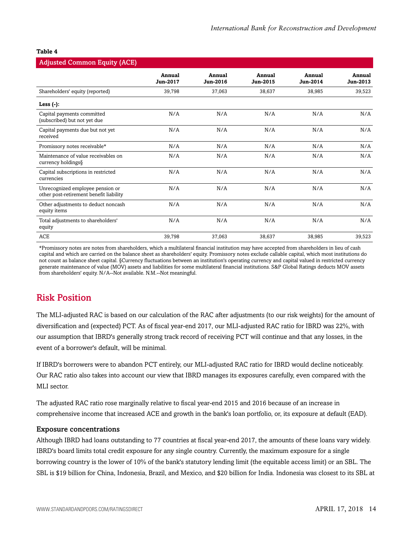| <b>Adjusted Common Equity (ACE)</b>                                         |                    |                    |                    |                    |                    |
|-----------------------------------------------------------------------------|--------------------|--------------------|--------------------|--------------------|--------------------|
|                                                                             | Annual<br>Jun-2017 | Annual<br>Jun-2016 | Annual<br>Jun-2015 | Annual<br>Jun-2014 | Annual<br>Jun-2013 |
| Shareholders' equity (reported)                                             | 39,798             | 37,063             | 38,637             | 38,985             | 39,523             |
| Less $(-)$ :                                                                |                    |                    |                    |                    |                    |
| Capital payments committed<br>(subscribed) but not yet due                  | N/A                | N/A                | N/A                | N/A                | N/A                |
| Capital payments due but not yet<br>received                                | N/A                | N/A                | N/A                | N/A                | N/A                |
| Promissory notes receivable*                                                | N/A                | N/A                | N/A                | N/A                | N/A                |
| Maintenance of value receivables on<br>currency holdings§                   | N/A                | N/A                | N/A                | N/A                | N/A                |
| Capital subscriptions in restricted<br>currencies                           | N/A                | N/A                | N/A                | N/A                | N/A                |
| Unrecognized employee pension or<br>other post-retirement benefit liability | N/A                | N/A                | N/A                | N/A                | N/A                |
| Other adjustments to deduct noncash<br>equity items                         | N/A                | N/A                | N/A                | N/A                | N/A                |
| Total adjustments to shareholders'<br>equity                                | N/A                | N/A                | N/A                | N/A                | N/A                |
| <b>ACE</b>                                                                  | 39,798             | 37,063             | 38,637             | 38,985             | 39,523             |

\*Promissory notes are notes from shareholders, which a multilateral financial institution may have accepted from shareholders in lieu of cash capital and which are carried on the balance sheet as shareholders' equity. Promissory notes exclude callable capital, which most institutions do not count as balance sheet capital. §Currency fluctuations between an institution's operating currency and capital valued in restricted currency generate maintenance of value (MOV) assets and liabilities for some multilateral financial institutions. S&P Global Ratings deducts MOV assets from shareholders' equity. N/A--Not available. N.M.--Not meaningful.

## <span id="page-13-0"></span>Risk Position

The MLI-adjusted RAC is based on our calculation of the RAC after adjustments (to our risk weights) for the amount of diversification and (expected) PCT. As of fiscal year-end 2017, our MLI-adjusted RAC ratio for IBRD was 22%, with our assumption that IBRD's generally strong track record of receiving PCT will continue and that any losses, in the event of a borrower's default, will be minimal.

If IBRD's borrowers were to abandon PCT entirely, our MLI-adjusted RAC ratio for IBRD would decline noticeably. Our RAC ratio also takes into account our view that IBRD manages its exposures carefully, even compared with the MLI sector.

The adjusted RAC ratio rose marginally relative to fiscal year-end 2015 and 2016 because of an increase in comprehensive income that increased ACE and growth in the bank's loan portfolio, or, its exposure at default (EAD).

#### Exposure concentrations

Although IBRD had loans outstanding to 77 countries at fiscal year-end 2017, the amounts of these loans vary widely. IBRD's board limits total credit exposure for any single country. Currently, the maximum exposure for a single borrowing country is the lower of 10% of the bank's statutory lending limit (the equitable access limit) or an SBL. The SBL is \$19 billion for China, Indonesia, Brazil, and Mexico, and \$20 billion for India. Indonesia was closest to its SBL at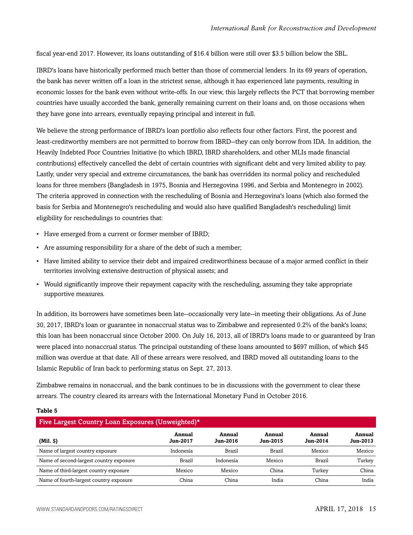fiscal year-end 2017. However, its loans outstanding of \$16.4 billion were still over \$3.5 billion below the SBL.

IBRD's loans have historically performed much better than those of commercial lenders. In its 69 years of operation, the bank has never written off a loan in the strictest sense, although it has experienced late payments, resulting in economic losses for the bank even without write-offs. In our view, this largely reflects the PCT that borrowing member countries have usually accorded the bank, generally remaining current on their loans and, on those occasions when they have gone into arrears, eventually repaying principal and interest in full.

We believe the strong performance of IBRD's loan portfolio also reflects four other factors. First, the poorest and least-creditworthy members are not permitted to borrow from IBRD--they can only borrow from IDA. In addition, the Heavily Indebted Poor Countries Initiative (to which IBRD, IBRD shareholders, and other MLIs made financial contributions) effectively cancelled the debt of certain countries with significant debt and very limited ability to pay. Lastly, under very special and extreme circumstances, the bank has overridden its normal policy and rescheduled loans for three members (Bangladesh in 1975, Bosnia and Herzegovina 1996, and Serbia and Montenegro in 2002). The criteria approved in connection with the rescheduling of Bosnia and Herzegovina's loans (which also formed the basis for Serbia and Montenegro's rescheduling and would also have qualified Bangladesh's rescheduling) limit eligibility for reschedulings to countries that:

- Have emerged from a current or former member of IBRD;
- Are assuming responsibility for a share of the debt of such a member;
- Have limited ability to service their debt and impaired creditworthiness because of a major armed conflict in their territories involving extensive destruction of physical assets; and
- Would significantly improve their repayment capacity with the rescheduling, assuming they take appropriate supportive measures.

In addition, its borrowers have sometimes been late--occasionally very late--in meeting their obligations. As of June 30, 2017, IBRD's loan or guarantee in nonaccrual status was to Zimbabwe and represented 0.2% of the bank's loans; this loan has been nonaccrual since October 2000. On July 16, 2013, all of IBRD's loans made to or guaranteed by Iran were placed into nonaccrual status. The principal outstanding of these loans amounted to \$697 million, of which \$45 million was overdue at that date. All of these arrears were resolved, and IBRD moved all outstanding loans to the Islamic Republic of Iran back to performing status on Sept. 27, 2013.

Zimbabwe remains in nonaccrual, and the bank continues to be in discussions with the government to clear these arrears. The country cleared its arrears with the International Monetary Fund in October 2016.

#### **Table 5**

| Five Largest Country Loan Exposures (Unweighted)* |                           |                           |                           |                    |                           |  |  |
|---------------------------------------------------|---------------------------|---------------------------|---------------------------|--------------------|---------------------------|--|--|
| $(Mil.$ \$)                                       | Annual<br><b>Jun-2017</b> | Annual<br><b>Jun-2016</b> | Annual<br><b>Jun-2015</b> | Annual<br>Jun-2014 | Annual<br><b>Jun-2013</b> |  |  |
| Name of largest country exposure                  | Indonesia                 | <b>Brazil</b>             | <b>Brazil</b>             | Mexico             | Mexico                    |  |  |
| Name of second-largest country exposure           | <b>Brazil</b>             | Indonesia                 | Mexico                    | Brazil             | Turkey                    |  |  |
| Name of third-largest country exposure            | Mexico                    | Mexico                    | China                     | Turkey             | China                     |  |  |
| Name of fourth-largest country exposure           | China                     | China                     | India                     | China              | India                     |  |  |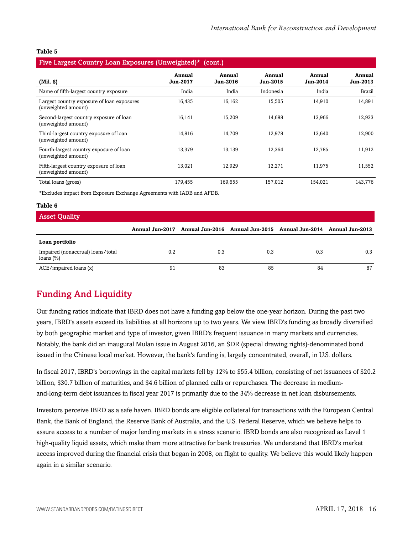| Five Largest Country Loan Exposures (Unweighted)*<br>(cont.)      |                           |                           |                           |                           |                    |  |  |
|-------------------------------------------------------------------|---------------------------|---------------------------|---------------------------|---------------------------|--------------------|--|--|
| $(Mil.$ $\varphi)$                                                | Annual<br><b>Jun-2017</b> | Annual<br><b>Jun-2016</b> | Annual<br><b>Jun-2015</b> | Annual<br><b>Jun-2014</b> | Annual<br>Jun-2013 |  |  |
| Name of fifth-largest country exposure                            | India                     | India                     | Indonesia                 | India                     | <b>Brazil</b>      |  |  |
| Largest country exposure of loan exposures<br>(unweighted amount) | 16,435                    | 16,162                    | 15,505                    | 14,910                    | 14,891             |  |  |
| Second-largest country exposure of loan<br>(unweighted amount)    | 16,141                    | 15,209                    | 14,688                    | 13,966                    | 12,933             |  |  |
| Third-largest country exposure of loan<br>(unweighted amount)     | 14,816                    | 14,709                    | 12,978                    | 13,640                    | 12,900             |  |  |
| Fourth-largest country exposure of loan<br>(unweighted amount)    | 13,379                    | 13,139                    | 12,364                    | 12,785                    | 11,912             |  |  |
| Fifth-largest country exposure of loan<br>(unweighted amount)     | 13,021                    | 12,929                    | 12,271                    | 11,975                    | 11,552             |  |  |
| Total loans (gross)                                               | 179.455                   | 169.655                   | 157.012                   | 154.021                   | 143,776            |  |  |

\*Excludes impact from Exposure Exchange Agreements with IADB and AFDB.

#### **Table 6**

| <b>Asset Quality</b>                               |     |     |                                                                                 |     |     |
|----------------------------------------------------|-----|-----|---------------------------------------------------------------------------------|-----|-----|
|                                                    |     |     | Annual Jun-2017 Annual Jun-2016 Annual Jun-2015 Annual Jun-2014 Annual Jun-2013 |     |     |
| Loan portfolio                                     |     |     |                                                                                 |     |     |
| Impaired (nonaccrual) loans/total<br>loans $(\% )$ | 0.2 | 0.3 | 0.3                                                                             | 0.3 | 0.3 |
| ACE/impaired loans (x)                             | 91  | 83  | 85                                                                              | 84  | 87  |

## <span id="page-15-0"></span>Funding And Liquidity

Our funding ratios indicate that IBRD does not have a funding gap below the one-year horizon. During the past two years, IBRD's assets exceed its liabilities at all horizons up to two years. We view IBRD's funding as broadly diversified by both geographic market and type of investor, given IBRD's frequent issuance in many markets and currencies. Notably, the bank did an inaugural Mulan issue in August 2016, an SDR (special drawing rights)-denominated bond issued in the Chinese local market. However, the bank's funding is, largely concentrated, overall, in U.S. dollars.

In fiscal 2017, IBRD's borrowings in the capital markets fell by 12% to \$55.4 billion, consisting of net issuances of \$20.2 billion, \$30.7 billion of maturities, and \$4.6 billion of planned calls or repurchases. The decrease in mediumand-long-term debt issuances in fiscal year 2017 is primarily due to the 34% decrease in net loan disbursements.

Investors perceive IBRD as a safe haven. IBRD bonds are eligible collateral for transactions with the European Central Bank, the Bank of England, the Reserve Bank of Australia, and the U.S. Federal Reserve, which we believe helps to assure access to a number of major lending markets in a stress scenario. IBRD bonds are also recognized as Level 1 high-quality liquid assets, which make them more attractive for bank treasuries. We understand that IBRD's market access improved during the financial crisis that began in 2008, on flight to quality. We believe this would likely happen again in a similar scenario.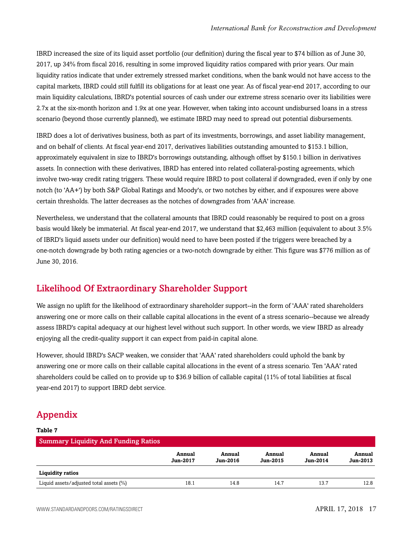IBRD increased the size of its liquid asset portfolio (our definition) during the fiscal year to \$74 billion as of June 30, 2017, up 34% from fiscal 2016, resulting in some improved liquidity ratios compared with prior years. Our main liquidity ratios indicate that under extremely stressed market conditions, when the bank would not have access to the capital markets, IBRD could still fulfill its obligations for at least one year. As of fiscal year-end 2017, according to our main liquidity calculations, IBRD's potential sources of cash under our extreme stress scenario over its liabilities were 2.7x at the six-month horizon and 1.9x at one year. However, when taking into account undisbursed loans in a stress scenario (beyond those currently planned), we estimate IBRD may need to spread out potential disbursements.

IBRD does a lot of derivatives business, both as part of its investments, borrowings, and asset liability management, and on behalf of clients. At fiscal year-end 2017, derivatives liabilities outstanding amounted to \$153.1 billion, approximately equivalent in size to IBRD's borrowings outstanding, although offset by \$150.1 billion in derivatives assets. In connection with these derivatives, IBRD has entered into related collateral-posting agreements, which involve two-way credit rating triggers. These would require IBRD to post collateral if downgraded, even if only by one notch (to 'AA+') by both S&P Global Ratings and Moody's, or two notches by either, and if exposures were above certain thresholds. The latter decreases as the notches of downgrades from 'AAA' increase.

Nevertheless, we understand that the collateral amounts that IBRD could reasonably be required to post on a gross basis would likely be immaterial. At fiscal year-end 2017, we understand that \$2,463 million (equivalent to about 3.5% of IBRD's liquid assets under our definition) would need to have been posted if the triggers were breached by a one-notch downgrade by both rating agencies or a two-notch downgrade by either. This figure was \$776 million as of June 30, 2016.

## <span id="page-16-0"></span>Likelihood Of Extraordinary Shareholder Support

We assign no uplift for the likelihood of extraordinary shareholder support--in the form of 'AAA' rated shareholders answering one or more calls on their callable capital allocations in the event of a stress scenario--because we already assess IBRD's capital adequacy at our highest level without such support. In other words, we view IBRD as already enjoying all the credit-quality support it can expect from paid-in capital alone.

However, should IBRD's SACP weaken, we consider that 'AAA' rated shareholders could uphold the bank by answering one or more calls on their callable capital allocations in the event of a stress scenario. Ten 'AAA' rated shareholders could be called on to provide up to \$36.9 billion of callable capital (11% of total liabilities at fiscal year-end 2017) to support IBRD debt service.

## <span id="page-16-1"></span>Appendix

#### **Table 7**

| <b>Summary Liquidity And Funding Ratios</b> |                           |                    |                    |                    |                    |
|---------------------------------------------|---------------------------|--------------------|--------------------|--------------------|--------------------|
|                                             | Annual<br><b>Jun-2017</b> | Annual<br>Jun-2016 | Annual<br>Jun-2015 | Annual<br>Jun-2014 | Annual<br>Jun-2013 |
| <b>Liquidity ratios</b>                     |                           |                    |                    |                    |                    |
| Liquid assets/adjusted total assets $(\%)$  | 18.1                      | 14.8               | 14.7               | 13.7               | 12.8               |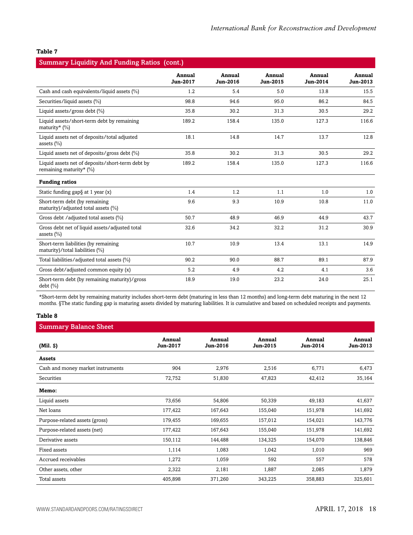| <b>Summary Liquidity And Funding Ratios (cont.)</b>                            |                    |                    |                    |                    |                    |  |
|--------------------------------------------------------------------------------|--------------------|--------------------|--------------------|--------------------|--------------------|--|
|                                                                                | Annual<br>Jun-2017 | Annual<br>Jun-2016 | Annual<br>Jun-2015 | Annual<br>Jun-2014 | Annual<br>Jun-2013 |  |
| Cash and cash equivalents/liquid assets (%)                                    | 1.2                | 5.4                | 5.0                | 13.8               | 15.5               |  |
| Securities/liquid assets (%)                                                   | 98.8               | 94.6               | 95.0               | 86.2               | 84.5               |  |
| Liquid assets/gross debt (%)                                                   | 35.8               | 30.2               | 31.3               | 30.5               | 29.2               |  |
| Liquid assets/short-term debt by remaining<br>maturity* $(\%)$                 | 189.2              | 158.4              | 135.0              | 127.3              | 116.6              |  |
| Liquid assets net of deposits/total adjusted<br>assets $(\% )$                 | 18.1               | 14.8               | 14.7               | 13.7               | 12.8               |  |
| Liquid assets net of deposits/gross debt $(\%)$                                | 35.8               | 30.2               | 31.3               | 30.5               | 29.2               |  |
| Liquid assets net of deposits/short-term debt by<br>remaining maturity* $(\%)$ | 189.2              | 158.4              | 135.0              | 127.3              | 116.6              |  |
| <b>Funding ratios</b>                                                          |                    |                    |                    |                    |                    |  |
| Static funding gap $\S$ at 1 year $(x)$                                        | 1.4                | 1.2                | 1.1                | 1.0                | 1.0                |  |
| Short-term debt (by remaining<br>maturity)/adjusted total assets (%)           | 9.6                | 9.3                | 10.9               | 10.8               | 11.0               |  |
| Gross debt / adjusted total assets (%)                                         | 50.7               | 48.9               | 46.9               | 44.9               | 43.7               |  |
| Gross debt net of liquid assets/adjusted total<br>assets $(\% )$               | 32.6               | 34.2               | 32.2               | 31.2               | 30.9               |  |
| Short-term liabilities (by remaining<br>maturity)/total liabilities (%)        | 10.7               | 10.9               | 13.4               | 13.1               | 14.9               |  |
| Total liabilities/adjusted total assets (%)                                    | 90.2               | 90.0               | 88.7               | 89.1               | 87.9               |  |
| Gross debt/adjusted common equity (x)                                          | 5.2                | 4.9                | 4.2                | 4.1                | 3.6                |  |
| Short-term debt (by remaining maturity)/gross<br>$debt$ $(\%)$                 | 18.9               | 19.0               | 23.2               | 24.0               | 25.1               |  |

\*Short-term debt by remaining maturity includes short-term debt (maturing in less than 12 months) and long-term debt maturing in the next 12 months. §The static funding gap is maturing assets divided by maturing liabilities. It is cumulative and based on scheduled receipts and payments.

#### **Table 8**

| <b>Summary Balance Sheet</b>      |                           |                    |                    |                    |                    |
|-----------------------------------|---------------------------|--------------------|--------------------|--------------------|--------------------|
| (Mil. S)                          | Annual<br><b>Jun-2017</b> | Annual<br>Jun-2016 | Annual<br>Jun-2015 | Annual<br>Jun-2014 | Annual<br>Jun-2013 |
| Assets                            |                           |                    |                    |                    |                    |
| Cash and money market instruments | 904                       | 2,976              | 2,516              | 6,771              | 6,473              |
| Securities                        | 72,752                    | 51,830             | 47,823             | 42,412             | 35,164             |
| Memo:                             |                           |                    |                    |                    |                    |
| Liquid assets                     | 73,656                    | 54,806             | 50,339             | 49,183             | 41,637             |
| Net loans                         | 177,422                   | 167,643            | 155,040            | 151,978            | 141,692            |
| Purpose-related assets (gross)    | 179,455                   | 169,655            | 157,012            | 154,021            | 143,776            |
| Purpose-related assets (net)      | 177,422                   | 167,643            | 155,040            | 151,978            | 141,692            |
| Derivative assets                 | 150,112                   | 144,488            | 134,325            | 154,070            | 138,846            |
| Fixed assets                      | 1,114                     | 1,083              | 1,042              | 1,010              | 969                |
| Accrued receivables               | 1,272                     | 1,059              | 592                | 557                | 578                |
| Other assets, other               | 2,322                     | 2,181              | 1,887              | 2,085              | 1,879              |
| Total assets                      | 405,898                   | 371,260            | 343,225            | 358,883            | 325,601            |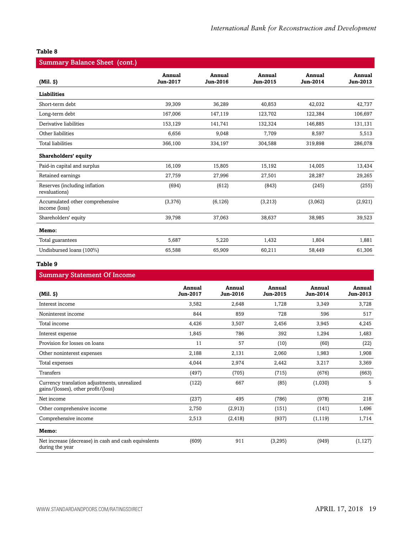| <b>Summary Balance Sheet (cont.)</b>             |                           |                    |                           |                    |                    |  |  |
|--------------------------------------------------|---------------------------|--------------------|---------------------------|--------------------|--------------------|--|--|
| $(Mil.$ $\vartheta)$                             | Annual<br><b>Jun-2017</b> | Annual<br>Jun-2016 | Annual<br><b>Jun-2015</b> | Annual<br>Jun-2014 | Annual<br>Jun-2013 |  |  |
| <b>Liabilities</b>                               |                           |                    |                           |                    |                    |  |  |
| Short-term debt                                  | 39,309                    | 36,289             | 40,853                    | 42,032             | 42,737             |  |  |
| Long-term debt                                   | 167,006                   | 147,119            | 123,702                   | 122,384            | 106,697            |  |  |
| Derivative liabilities                           | 153,129                   | 141,741            | 132,324                   | 146,885            | 131,131            |  |  |
| Other liabilities                                | 6,656                     | 9,048              | 7,709                     | 8,597              | 5,513              |  |  |
| Total liabilities                                | 366,100                   | 334,197            | 304,588                   | 319,898            | 286,078            |  |  |
| Shareholders' equity                             |                           |                    |                           |                    |                    |  |  |
| Paid-in capital and surplus                      | 16,109                    | 15,805             | 15,192                    | 14,005             | 13,434             |  |  |
| Retained earnings                                | 27,759                    | 27,996             | 27,501                    | 28,287             | 29,265             |  |  |
| Reserves (including inflation<br>revaluations)   | (694)                     | (612)              | (843)                     | (245)              | (255)              |  |  |
| Accumulated other comprehensive<br>income (loss) | (3,376)                   | (6, 126)           | (3,213)                   | (3,062)            | (2,921)            |  |  |
| Shareholders' equity                             | 39,798                    | 37,063             | 38,637                    | 38,985             | 39,523             |  |  |
| Memo:                                            |                           |                    |                           |                    |                    |  |  |
| Total guarantees                                 | 5,687                     | 5,220              | 1,432                     | 1,804              | 1,881              |  |  |
| Undisbursed loans (100%)                         | 65,588                    | 65,909             | 60,211                    | 58,449             | 61,306             |  |  |

#### **Table 9**

#### Summary Statement Of Income

| $(Mil. \S)$                                                                         | Annual<br><b>Jun-2017</b> | Annual<br>Jun-2016 | Annual<br>Jun-2015 | Annual<br>Jun-2014 | Annual<br>Jun-2013 |
|-------------------------------------------------------------------------------------|---------------------------|--------------------|--------------------|--------------------|--------------------|
| Interest income                                                                     | 3,582                     | 2,648              | 1,728              | 3,349              | 3,728              |
| Noninterest income                                                                  | 844                       | 859                | 728                | 596                | 517                |
| Total income                                                                        | 4,426                     | 3,507              | 2,456              | 3,945              | 4,245              |
| Interest expense                                                                    | 1,845                     | 786                | 392                | 1,294              | 1,483              |
| Provision for losses on loans                                                       | 11                        | 57                 | (10)               | (60)               | (22)               |
| Other noninterest expenses                                                          | 2,188                     | 2,131              | 2,060              | 1,983              | 1,908              |
| Total expenses                                                                      | 4,044                     | 2,974              | 2,442              | 3,217              | 3,369              |
| <b>Transfers</b>                                                                    | (497)                     | (705)              | (715)              | (676)              | (663)              |
| Currency translation adjustments, unrealized<br>gains/(losses), other profit/(loss) | (122)                     | 667                | (85)               | (1,030)            | 5                  |
| Net income                                                                          | (237)                     | 495                | (786)              | (978)              | 218                |
| Other comprehensive income                                                          | 2,750                     | (2,913)            | (151)              | (141)              | 1,496              |
| Comprehensive income                                                                | 2,513                     | (2, 418)           | (937)              | (1, 119)           | 1,714              |
| Memo:                                                                               |                           |                    |                    |                    |                    |
| Net increase (decrease) in cash and cash equivalents<br>during the year             | (609)                     | 911                | (3, 295)           | (949)              | (1, 127)           |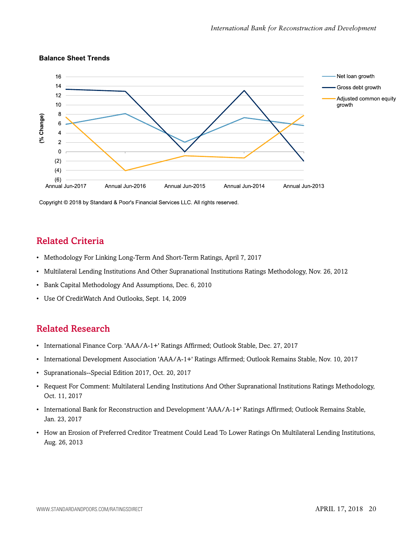

#### **Balance Sheet Trends**

Copyright © 2018 by Standard & Poor's Financial Services LLC. All rights reserved.

## <span id="page-19-0"></span>Related Criteria

- Methodology For Linking Long-Term And Short-Term Ratings, April 7, 2017
- Multilateral Lending Institutions And Other Supranational Institutions Ratings Methodology, Nov. 26, 2012
- Bank Capital Methodology And Assumptions, Dec. 6, 2010
- Use Of CreditWatch And Outlooks, Sept. 14, 2009

### <span id="page-19-1"></span>Related Research

- International Finance Corp. 'AAA/A-1+' Ratings Affirmed; Outlook Stable, Dec. 27, 2017
- International Development Association 'AAA/A-1+' Ratings Affirmed; Outlook Remains Stable, Nov. 10, 2017
- Supranationals--Special Edition 2017, Oct. 20, 2017
- Request For Comment: Multilateral Lending Institutions And Other Supranational Institutions Ratings Methodology, Oct. 11, 2017
- International Bank for Reconstruction and Development 'AAA/A-1+' Ratings Affirmed; Outlook Remains Stable, Jan. 23, 2017
- How an Erosion of Preferred Creditor Treatment Could Lead To Lower Ratings On Multilateral Lending Institutions, Aug. 26, 2013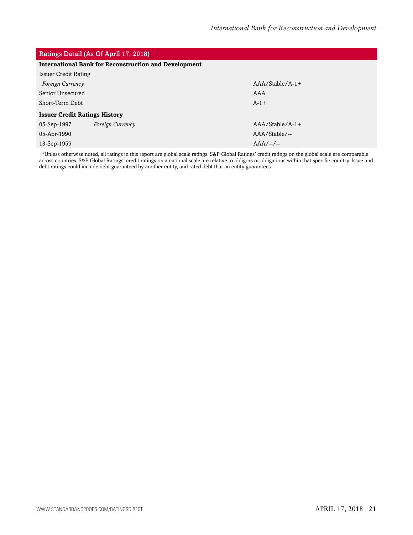#### Ratings Detail (As Of April 17, 2018)

| <b>International Bank for Reconstruction and Development</b> |                  |                   |  |  |  |
|--------------------------------------------------------------|------------------|-------------------|--|--|--|
| <b>Issuer Credit Rating</b>                                  |                  |                   |  |  |  |
| Foreign Currency                                             |                  | $AAA/Stable/A-1+$ |  |  |  |
| Senior Unsecured                                             |                  | AAA               |  |  |  |
| Short-Term Debt                                              |                  | $A-1+$            |  |  |  |
| <b>Issuer Credit Ratings History</b>                         |                  |                   |  |  |  |
| 05-Sep-1997                                                  | Foreign Currency | $AAA/Stable/A-1+$ |  |  |  |
| 05-Apr-1990                                                  |                  | AAA/Stable/--     |  |  |  |
| 13-Sep-1959                                                  |                  | $AAA$ --/--       |  |  |  |
|                                                              |                  |                   |  |  |  |

\*Unless otherwise noted, all ratings in this report are global scale ratings. S&P Global Ratings' credit ratings on the global scale are comparable across countries. S&P Global Ratings' credit ratings on a national scale are relative to obligors or obligations within that specific country. Issue and debt ratings could include debt guaranteed by another entity, and rated debt that an entity guarantees.